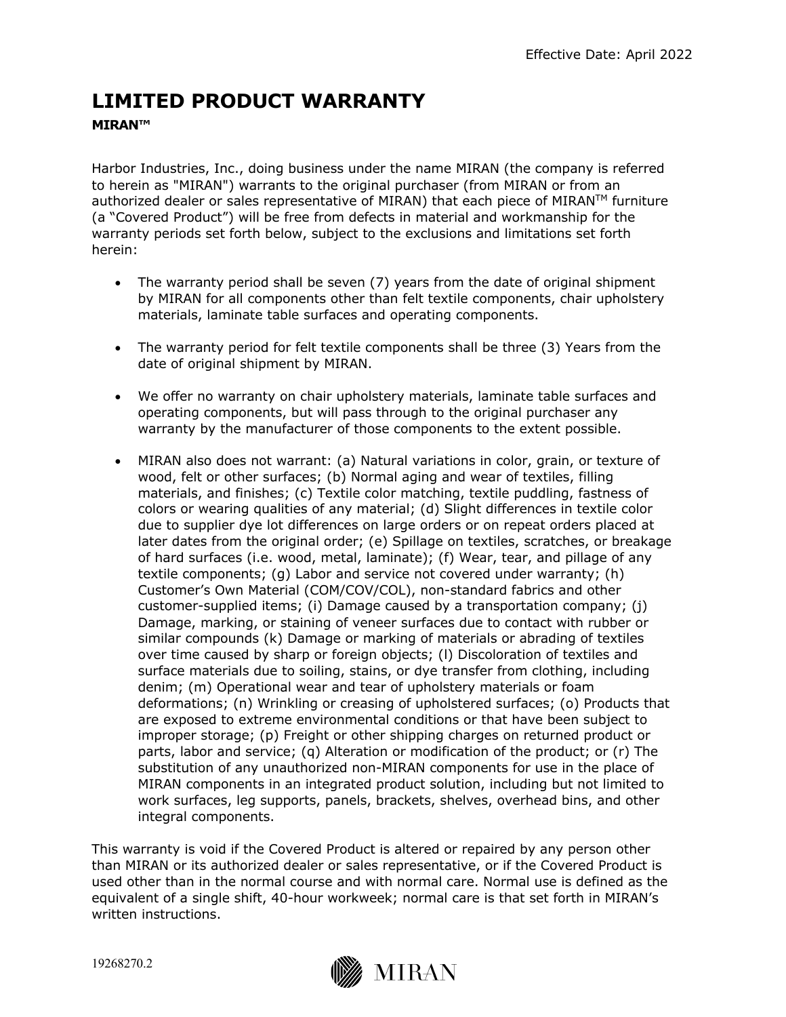## **LIMITED PRODUCT WARRANTY**

## **MIRAN™**

Harbor Industries, Inc., doing business under the name MIRAN (the company is referred to herein as "MIRAN") warrants to the original purchaser (from MIRAN or from an authorized dealer or sales representative of MIRAN) that each piece of MIRAN™ furniture (a "Covered Product") will be free from defects in material and workmanship for the warranty periods set forth below, subject to the exclusions and limitations set forth herein:

- The warranty period shall be seven (7) years from the date of original shipment by MIRAN for all components other than felt textile components, chair upholstery materials, laminate table surfaces and operating components.
- The warranty period for felt textile components shall be three (3) Years from the date of original shipment by MIRAN.
- We offer no warranty on chair upholstery materials, laminate table surfaces and operating components, but will pass through to the original purchaser any warranty by the manufacturer of those components to the extent possible.
- MIRAN also does not warrant: (a) Natural variations in color, grain, or texture of wood, felt or other surfaces; (b) Normal aging and wear of textiles, filling materials, and finishes; (c) Textile color matching, textile puddling, fastness of colors or wearing qualities of any material; (d) Slight differences in textile color due to supplier dye lot differences on large orders or on repeat orders placed at later dates from the original order; (e) Spillage on textiles, scratches, or breakage of hard surfaces (i.e. wood, metal, laminate); (f) Wear, tear, and pillage of any textile components; (g) Labor and service not covered under warranty; (h) Customer's Own Material (COM/COV/COL), non-standard fabrics and other customer-supplied items; (i) Damage caused by a transportation company; (j) Damage, marking, or staining of veneer surfaces due to contact with rubber or similar compounds (k) Damage or marking of materials or abrading of textiles over time caused by sharp or foreign objects; (l) Discoloration of textiles and surface materials due to soiling, stains, or dye transfer from clothing, including denim; (m) Operational wear and tear of upholstery materials or foam deformations; (n) Wrinkling or creasing of upholstered surfaces; (o) Products that are exposed to extreme environmental conditions or that have been subject to improper storage; (p) Freight or other shipping charges on returned product or parts, labor and service; (q) Alteration or modification of the product; or (r) The substitution of any unauthorized non-MIRAN components for use in the place of MIRAN components in an integrated product solution, including but not limited to work surfaces, leg supports, panels, brackets, shelves, overhead bins, and other integral components.

This warranty is void if the Covered Product is altered or repaired by any person other than MIRAN or its authorized dealer or sales representative, or if the Covered Product is used other than in the normal course and with normal care. Normal use is defined as the equivalent of a single shift, 40-hour workweek; normal care is that set forth in MIRAN's written instructions.

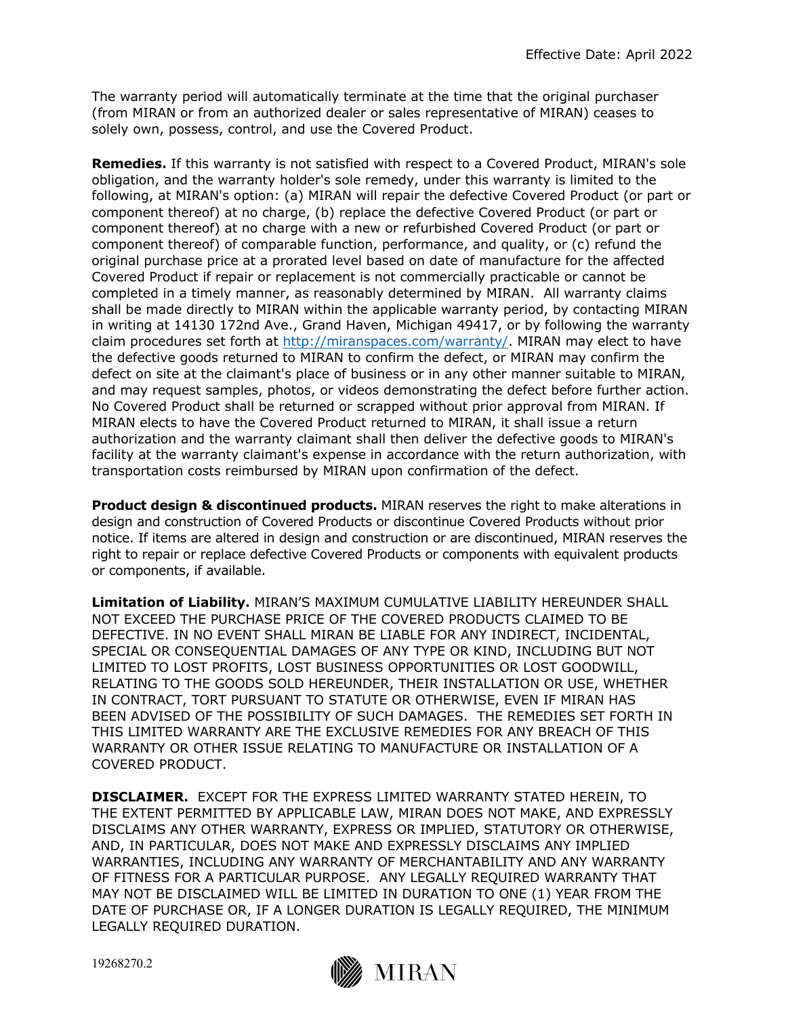The warranty period will automatically terminate at the time that the original purchaser (from MIRAN or from an authorized dealer or sales representative of MIRAN) ceases to solely own, possess, control, and use the Covered Product.

**Remedies.** If this warranty is not satisfied with respect to a Covered Product, MIRAN's sole obligation, and the warranty holder's sole remedy, under this warranty is limited to the following, at MIRAN's option: (a) MIRAN will repair the defective Covered Product (or part or component thereof) at no charge, (b) replace the defective Covered Product (or part or component thereof) at no charge with a new or refurbished Covered Product (or part or component thereof) of comparable function, performance, and quality, or (c) refund the original purchase price at a prorated level based on date of manufacture for the affected Covered Product if repair or replacement is not commercially practicable or cannot be completed in a timely manner, as reasonably determined by MIRAN. All warranty claims shall be made directly to MIRAN within the applicable warranty period, by contacting MIRAN in writing at 14130 172nd Ave., Grand Haven, Michigan 49417, or by following the warranty claim procedures set forth at http://miranspaces.com/warranty/. MIRAN may elect to have the defective goods returned to MIRAN to confirm the defect, or MIRAN may confirm the defect on site at the claimant's place of business or in any other manner suitable to MIRAN, and may request samples, photos, or videos demonstrating the defect before further action. No Covered Product shall be returned or scrapped without prior approval from MIRAN. If MIRAN elects to have the Covered Product returned to MIRAN, it shall issue a return authorization and the warranty claimant shall then deliver the defective goods to MIRAN's facility at the warranty claimant's expense in accordance with the return authorization, with transportation costs reimbursed by MIRAN upon confirmation of the defect.

**Product design & discontinued products.** MIRAN reserves the right to make alterations in design and construction of Covered Products or discontinue Covered Products without prior notice. If items are altered in design and construction or are discontinued, MIRAN reserves the right to repair or replace defective Covered Products or components with equivalent products or components, if available.

**Limitation of Liability.** MIRAN'S MAXIMUM CUMULATIVE LIABILITY HEREUNDER SHALL NOT EXCEED THE PURCHASE PRICE OF THE COVERED PRODUCTS CLAIMED TO BE DEFECTIVE. IN NO EVENT SHALL MIRAN BE LIABLE FOR ANY INDIRECT, INCIDENTAL, SPECIAL OR CONSEQUENTIAL DAMAGES OF ANY TYPE OR KIND, INCLUDING BUT NOT LIMITED TO LOST PROFITS, LOST BUSINESS OPPORTUNITIES OR LOST GOODWILL, RELATING TO THE GOODS SOLD HEREUNDER, THEIR INSTALLATION OR USE, WHETHER IN CONTRACT, TORT PURSUANT TO STATUTE OR OTHERWISE, EVEN IF MIRAN HAS BEEN ADVISED OF THE POSSIBILITY OF SUCH DAMAGES. THE REMEDIES SET FORTH IN THIS LIMITED WARRANTY ARE THE EXCLUSIVE REMEDIES FOR ANY BREACH OF THIS WARRANTY OR OTHER ISSUE RELATING TO MANUFACTURE OR INSTALLATION OF A COVERED PRODUCT.

**DISCLAIMER.** EXCEPT FOR THE EXPRESS LIMITED WARRANTY STATED HEREIN, TO THE EXTENT PERMITTED BY APPLICABLE LAW, MIRAN DOES NOT MAKE, AND EXPRESSLY DISCLAIMS ANY OTHER WARRANTY, EXPRESS OR IMPLIED, STATUTORY OR OTHERWISE, AND, IN PARTICULAR, DOES NOT MAKE AND EXPRESSLY DISCLAIMS ANY IMPLIED WARRANTIES, INCLUDING ANY WARRANTY OF MERCHANTABILITY AND ANY WARRANTY OF FITNESS FOR A PARTICULAR PURPOSE. ANY LEGALLY REQUIRED WARRANTY THAT MAY NOT BE DISCLAIMED WILL BE LIMITED IN DURATION TO ONE (1) YEAR FROM THE DATE OF PURCHASE OR, IF A LONGER DURATION IS LEGALLY REQUIRED, THE MINIMUM LEGALLY REQUIRED DURATION.